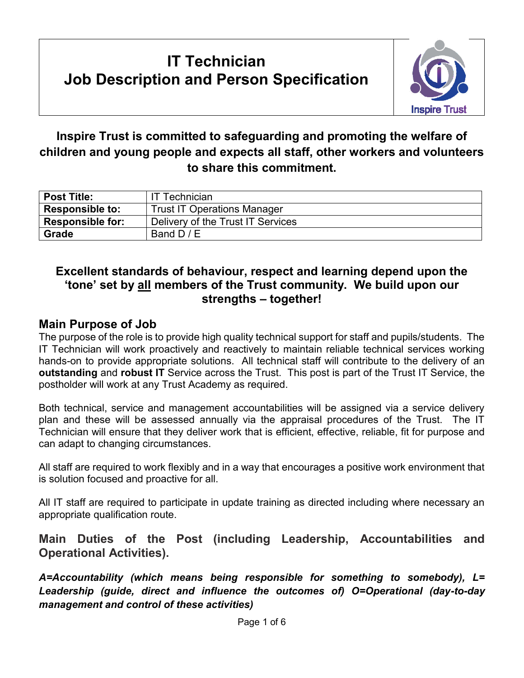## **IT Technician Job Description and Person Specification**



### **Inspire Trust is committed to safeguarding and promoting the welfare of children and young people and expects all staff, other workers and volunteers to share this commitment.**

| <b>Post Title:</b>      | <b>IT Technician</b>               |
|-------------------------|------------------------------------|
| <b>Responsible to:</b>  | <b>Trust IT Operations Manager</b> |
| <b>Responsible for:</b> | Delivery of the Trust IT Services  |
| <b>Grade</b>            | Band $D/E$                         |

#### **Excellent standards of behaviour, respect and learning depend upon the 'tone' set by all members of the Trust community. We build upon our strengths – together!**

#### **Main Purpose of Job**

The purpose of the role is to provide high quality technical support for staff and pupils/students. The IT Technician will work proactively and reactively to maintain reliable technical services working hands-on to provide appropriate solutions. All technical staff will contribute to the delivery of an **outstanding** and **robust IT** Service across the Trust. This post is part of the Trust IT Service, the postholder will work at any Trust Academy as required.

Both technical, service and management accountabilities will be assigned via a service delivery plan and these will be assessed annually via the appraisal procedures of the Trust. The IT Technician will ensure that they deliver work that is efficient, effective, reliable, fit for purpose and can adapt to changing circumstances.

All staff are required to work flexibly and in a way that encourages a positive work environment that is solution focused and proactive for all.

All IT staff are required to participate in update training as directed including where necessary an appropriate qualification route.

**Main Duties of the Post (including Leadership, Accountabilities and Operational Activities).** 

*A=Accountability (which means being responsible for something to somebody), L= Leadership (guide, direct and influence the outcomes of) O=Operational (day-to-day management and control of these activities)*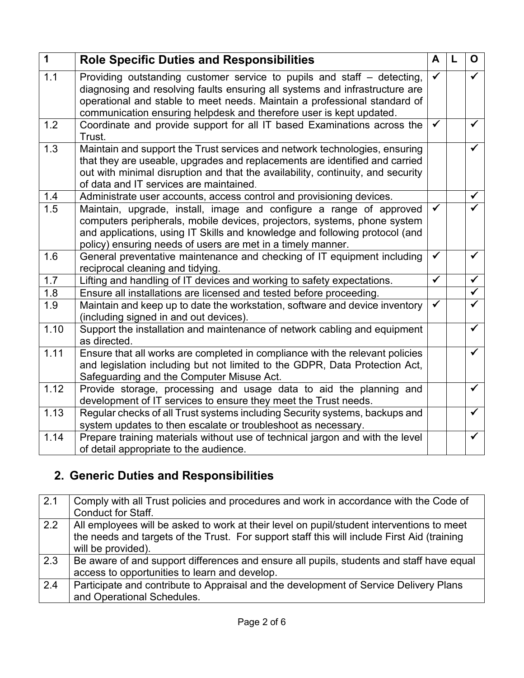| $\mathbf{1}$ | <b>Role Specific Duties and Responsibilities</b>                                                                                                                                                                                                                                                           | A                    | L | $\mathbf{O}$            |
|--------------|------------------------------------------------------------------------------------------------------------------------------------------------------------------------------------------------------------------------------------------------------------------------------------------------------------|----------------------|---|-------------------------|
| 1.1          | Providing outstanding customer service to pupils and staff – detecting,<br>diagnosing and resolving faults ensuring all systems and infrastructure are<br>operational and stable to meet needs. Maintain a professional standard of<br>communication ensuring helpdesk and therefore user is kept updated. | $\checkmark$         |   | $\checkmark$            |
| 1.2          | Coordinate and provide support for all IT based Examinations across the<br>Trust.                                                                                                                                                                                                                          | ✓                    |   | $\overline{\checkmark}$ |
| 1.3          | Maintain and support the Trust services and network technologies, ensuring<br>that they are useable, upgrades and replacements are identified and carried<br>out with minimal disruption and that the availability, continuity, and security<br>of data and IT services are maintained.                    |                      |   | $\checkmark$            |
| 1.4          | Administrate user accounts, access control and provisioning devices.                                                                                                                                                                                                                                       |                      |   | $\checkmark$            |
| 1.5          | Maintain, upgrade, install, image and configure a range of approved<br>computers peripherals, mobile devices, projectors, systems, phone system<br>and applications, using IT Skills and knowledge and following protocol (and<br>policy) ensuring needs of users are met in a timely manner.              | ✓                    |   | ✓                       |
| 1.6          | General preventative maintenance and checking of IT equipment including<br>reciprocal cleaning and tidying.                                                                                                                                                                                                | ✔                    |   | $\checkmark$            |
| 1.7          | Lifting and handling of IT devices and working to safety expectations.                                                                                                                                                                                                                                     | $\blacktriangledown$ |   | $\blacktriangledown$    |
| 1.8          | Ensure all installations are licensed and tested before proceeding.                                                                                                                                                                                                                                        |                      |   | $\overline{\checkmark}$ |
| 1.9          | Maintain and keep up to date the workstation, software and device inventory<br>(including signed in and out devices).                                                                                                                                                                                      | ✓                    |   | $\checkmark$            |
| 1.10         | Support the installation and maintenance of network cabling and equipment<br>as directed.                                                                                                                                                                                                                  |                      |   | $\overline{\checkmark}$ |
| 1.11         | Ensure that all works are completed in compliance with the relevant policies<br>and legislation including but not limited to the GDPR, Data Protection Act,<br>Safeguarding and the Computer Misuse Act.                                                                                                   |                      |   | $\checkmark$            |
| 1.12         | Provide storage, processing and usage data to aid the planning and<br>development of IT services to ensure they meet the Trust needs.                                                                                                                                                                      |                      |   | $\overline{\checkmark}$ |
| 1.13         | Regular checks of all Trust systems including Security systems, backups and<br>system updates to then escalate or troubleshoot as necessary.                                                                                                                                                               |                      |   | $\checkmark$            |
| 1.14         | Prepare training materials without use of technical jargon and with the level<br>of detail appropriate to the audience.                                                                                                                                                                                    |                      |   | $\checkmark$            |

# **2. Generic Duties and Responsibilities**

| 2.1 | Comply with all Trust policies and procedures and work in accordance with the Code of       |
|-----|---------------------------------------------------------------------------------------------|
|     | Conduct for Staff.                                                                          |
| 2.2 | All employees will be asked to work at their level on pupil/student interventions to meet   |
|     | the needs and targets of the Trust. For support staff this will include First Aid (training |
|     | will be provided).                                                                          |
| 2.3 | Be aware of and support differences and ensure all pupils, students and staff have equal    |
|     | access to opportunities to learn and develop.                                               |
| 2.4 | Participate and contribute to Appraisal and the development of Service Delivery Plans       |
|     | and Operational Schedules.                                                                  |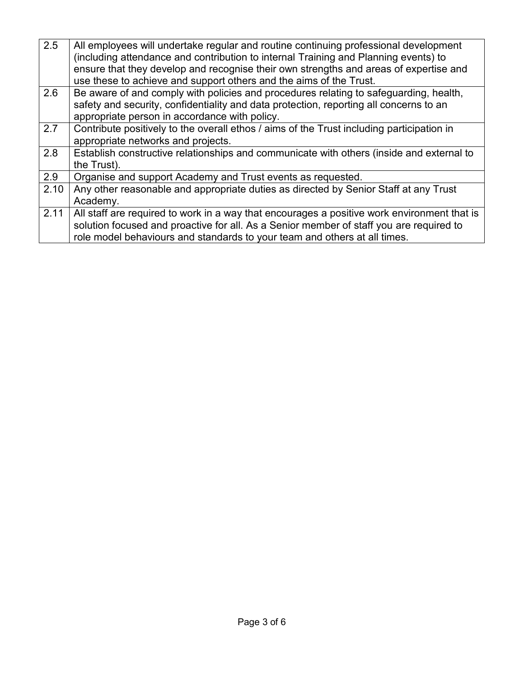| $\overline{2.5}$ | All employees will undertake regular and routine continuing professional development        |
|------------------|---------------------------------------------------------------------------------------------|
|                  | (including attendance and contribution to internal Training and Planning events) to         |
|                  | ensure that they develop and recognise their own strengths and areas of expertise and       |
|                  | use these to achieve and support others and the aims of the Trust.                          |
| 2.6              | Be aware of and comply with policies and procedures relating to safeguarding, health,       |
|                  | safety and security, confidentiality and data protection, reporting all concerns to an      |
|                  | appropriate person in accordance with policy.                                               |
| 2.7              | Contribute positively to the overall ethos / aims of the Trust including participation in   |
|                  | appropriate networks and projects.                                                          |
| 2.8              | Establish constructive relationships and communicate with others (inside and external to    |
|                  | the Trust).                                                                                 |
| 2.9              | Organise and support Academy and Trust events as requested.                                 |
| 2.10             | Any other reasonable and appropriate duties as directed by Senior Staff at any Trust        |
|                  | Academy.                                                                                    |
| 2.11             | All staff are required to work in a way that encourages a positive work environment that is |
|                  | solution focused and proactive for all. As a Senior member of staff you are required to     |
|                  | role model behaviours and standards to your team and others at all times.                   |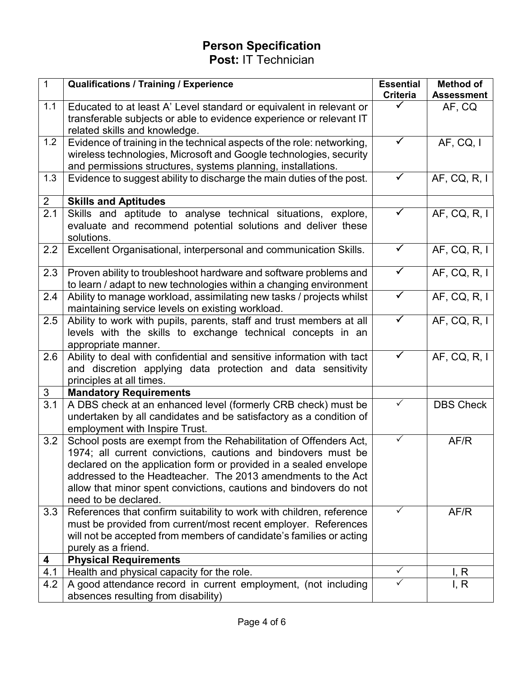# **Person Specification**

**Post:** IT Technician

| $\overline{1}$   | <b>Qualifications / Training / Experience</b>                                                                                               | <b>Essential</b> | <b>Method of</b>  |
|------------------|---------------------------------------------------------------------------------------------------------------------------------------------|------------------|-------------------|
|                  |                                                                                                                                             | <b>Criteria</b>  | <b>Assessment</b> |
| 1.1              | Educated to at least A' Level standard or equivalent in relevant or                                                                         |                  | AF, CQ            |
|                  | transferable subjects or able to evidence experience or relevant IT                                                                         |                  |                   |
|                  | related skills and knowledge.                                                                                                               |                  |                   |
| 1.2              | Evidence of training in the technical aspects of the role: networking,                                                                      | ✓                | AF, CQ, I         |
|                  | wireless technologies, Microsoft and Google technologies, security                                                                          |                  |                   |
|                  | and permissions structures, systems planning, installations.                                                                                |                  |                   |
| 1.3              | Evidence to suggest ability to discharge the main duties of the post.                                                                       | ✓                | AF, CQ, R, I      |
| $\overline{2}$   | <b>Skills and Aptitudes</b>                                                                                                                 |                  |                   |
| $\overline{2.1}$ | Skills and aptitude to analyse technical situations, explore,<br>evaluate and recommend potential solutions and deliver these<br>solutions. |                  | AF, CQ, R, I      |
| 2.2              | Excellent Organisational, interpersonal and communication Skills.                                                                           | $\checkmark$     | AF, CQ, R, I      |
| 2.3              | Proven ability to troubleshoot hardware and software problems and<br>to learn / adapt to new technologies within a changing environment     | $\checkmark$     | AF, CQ, R, I      |
| 2.4              | Ability to manage workload, assimilating new tasks / projects whilst                                                                        | $\checkmark$     | AF, CQ, R, I      |
|                  | maintaining service levels on existing workload.                                                                                            |                  |                   |
| 2.5              | Ability to work with pupils, parents, staff and trust members at all                                                                        |                  | AF, CQ, R, I      |
|                  | levels with the skills to exchange technical concepts in an                                                                                 |                  |                   |
|                  | appropriate manner.                                                                                                                         |                  |                   |
| 2.6              | Ability to deal with confidential and sensitive information with tact                                                                       |                  | AF, CQ, R, I      |
|                  | and discretion applying data protection and data sensitivity                                                                                |                  |                   |
|                  | principles at all times.                                                                                                                    |                  |                   |
| 3                | <b>Mandatory Requirements</b>                                                                                                               |                  |                   |
| $\overline{3.1}$ | A DBS check at an enhanced level (formerly CRB check) must be                                                                               | ✓                | <b>DBS Check</b>  |
|                  | undertaken by all candidates and be satisfactory as a condition of                                                                          |                  |                   |
|                  | employment with Inspire Trust.                                                                                                              |                  |                   |
| 3.2              | School posts are exempt from the Rehabilitation of Offenders Act,                                                                           | ✓                | AF/R              |
|                  | 1974; all current convictions, cautions and bindovers must be                                                                               |                  |                   |
|                  | declared on the application form or provided in a sealed envelope                                                                           |                  |                   |
|                  | addressed to the Headteacher. The 2013 amendments to the Act                                                                                |                  |                   |
|                  | allow that minor spent convictions, cautions and bindovers do not                                                                           |                  |                   |
|                  | need to be declared.                                                                                                                        |                  |                   |
| 3.3              | References that confirm suitability to work with children, reference                                                                        | ✓                | AF/R              |
|                  | must be provided from current/most recent employer. References                                                                              |                  |                   |
|                  | will not be accepted from members of candidate's families or acting                                                                         |                  |                   |
|                  | purely as a friend.                                                                                                                         |                  |                   |
| 4                | <b>Physical Requirements</b>                                                                                                                | $\checkmark$     |                   |
| 4.1              | Health and physical capacity for the role.                                                                                                  |                  | I, R              |
| 4.2              | A good attendance record in current employment, (not including                                                                              | ✓                | I, R              |
|                  | absences resulting from disability)                                                                                                         |                  |                   |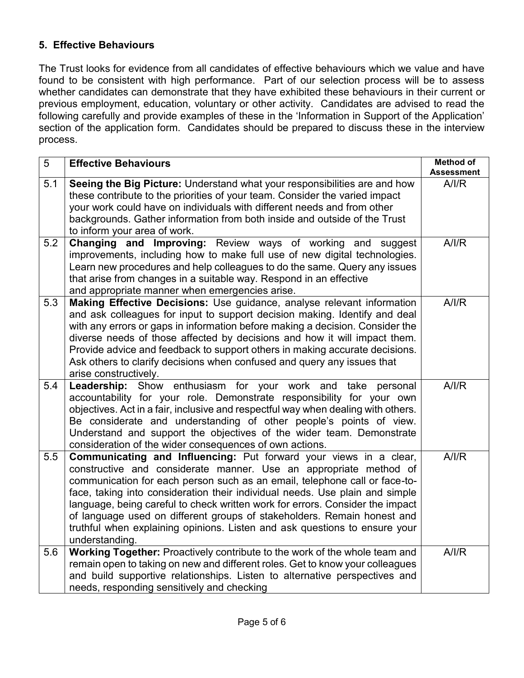#### **5. Effective Behaviours**

The Trust looks for evidence from all candidates of effective behaviours which we value and have found to be consistent with high performance. Part of our selection process will be to assess whether candidates can demonstrate that they have exhibited these behaviours in their current or previous employment, education, voluntary or other activity. Candidates are advised to read the following carefully and provide examples of these in the 'Information in Support of the Application' section of the application form. Candidates should be prepared to discuss these in the interview process.

| 5   | <b>Effective Behaviours</b>                                                                                                                                                                                                                                                                                                                                                                                                                                                                                                                                      | <b>Method of</b>          |
|-----|------------------------------------------------------------------------------------------------------------------------------------------------------------------------------------------------------------------------------------------------------------------------------------------------------------------------------------------------------------------------------------------------------------------------------------------------------------------------------------------------------------------------------------------------------------------|---------------------------|
| 5.1 | Seeing the Big Picture: Understand what your responsibilities are and how<br>these contribute to the priorities of your team. Consider the varied impact<br>your work could have on individuals with different needs and from other<br>backgrounds. Gather information from both inside and outside of the Trust<br>to inform your area of work.                                                                                                                                                                                                                 | <b>Assessment</b><br>A/IR |
| 5.2 | Changing and Improving: Review ways of working and suggest<br>improvements, including how to make full use of new digital technologies.<br>Learn new procedures and help colleagues to do the same. Query any issues<br>that arise from changes in a suitable way. Respond in an effective<br>and appropriate manner when emergencies arise.                                                                                                                                                                                                                     | A/IR                      |
| 5.3 | Making Effective Decisions: Use guidance, analyse relevant information<br>and ask colleagues for input to support decision making. Identify and deal<br>with any errors or gaps in information before making a decision. Consider the<br>diverse needs of those affected by decisions and how it will impact them.<br>Provide advice and feedback to support others in making accurate decisions.<br>Ask others to clarify decisions when confused and query any issues that<br>arise constructively.                                                            | A/IR                      |
| 5.4 | Leadership: Show enthusiasm for your work and take personal<br>accountability for your role. Demonstrate responsibility for your own<br>objectives. Act in a fair, inclusive and respectful way when dealing with others.<br>Be considerate and understanding of other people's points of view.<br>Understand and support the objectives of the wider team. Demonstrate<br>consideration of the wider consequences of own actions.                                                                                                                               | A/IR                      |
| 5.5 | Communicating and Influencing: Put forward your views in a clear,<br>constructive and considerate manner. Use an appropriate method of<br>communication for each person such as an email, telephone call or face-to-<br>face, taking into consideration their individual needs. Use plain and simple<br>language, being careful to check written work for errors. Consider the impact<br>of language used on different groups of stakeholders. Remain honest and<br>truthful when explaining opinions. Listen and ask questions to ensure your<br>understanding. | A/IR                      |
| 5.6 | Working Together: Proactively contribute to the work of the whole team and<br>remain open to taking on new and different roles. Get to know your colleagues<br>and build supportive relationships. Listen to alternative perspectives and<br>needs, responding sensitively and checking                                                                                                                                                                                                                                                                          | A/IR                      |